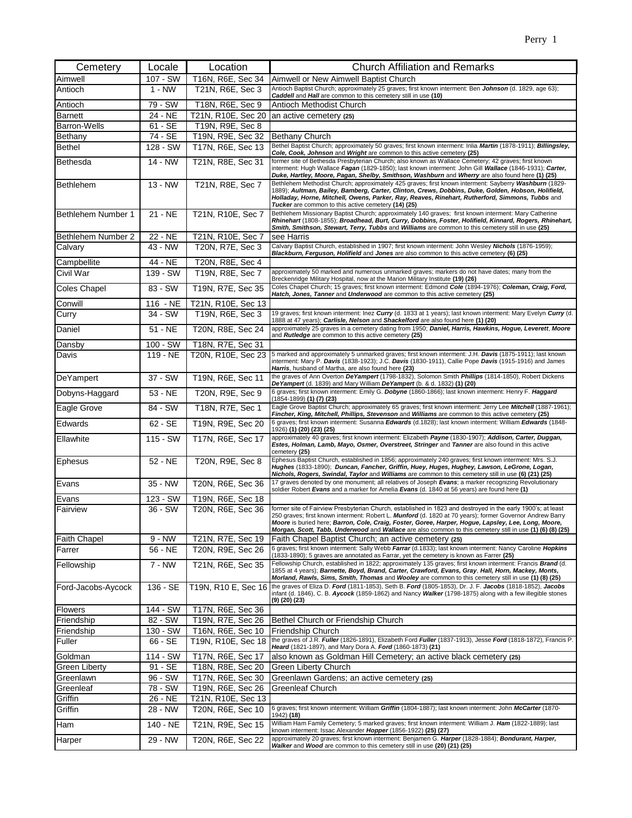| Cemetery             | Locale               | Location            | <b>Church Affiliation and Remarks</b>                                                                                                                                                                                                                                                                                                                                                                                                               |
|----------------------|----------------------|---------------------|-----------------------------------------------------------------------------------------------------------------------------------------------------------------------------------------------------------------------------------------------------------------------------------------------------------------------------------------------------------------------------------------------------------------------------------------------------|
| Aimwell              | 107 - SW             | T16N, R6E, Sec 34   | Aimwell or New Aimwell Baptist Church                                                                                                                                                                                                                                                                                                                                                                                                               |
| Antioch              | $1 - NW$             | T21N, R6E, Sec 3    | Antioch Baptist Church; approximately 25 graves; first known interment: Ben Johnson (d. 1829, age 63);<br>Caddell and Hall are common to this cemetery still in use (10)                                                                                                                                                                                                                                                                            |
| Antioch              | 79 - SW              | T18N, R6E, Sec 9    | Antioch Methodist Church                                                                                                                                                                                                                                                                                                                                                                                                                            |
| <b>Barnett</b>       | 24 - NE              | T21N, R10E, Sec 20  | an active cemetery (25)                                                                                                                                                                                                                                                                                                                                                                                                                             |
| <b>Barron-Wells</b>  | 61 - SE              | T19N, R9E, Sec 8    |                                                                                                                                                                                                                                                                                                                                                                                                                                                     |
| Bethany              | 74 - SE              | T19N, R9E, Sec 32   | Bethany Church                                                                                                                                                                                                                                                                                                                                                                                                                                      |
| <b>Bethel</b>        | 128 - SW             | T17N, R6E, Sec 13   | Bethel Baptist Church; approximately 50 graves; first known interment: Inlia Martin (1878-1911); Billingsley,<br>Cole, Cook, Johnson and Wright are common to this active cemetery (25)                                                                                                                                                                                                                                                             |
| Bethesda             | 14 - NW              | T21N, R8E, Sec 31   | former site of Bethesda Presbyterian Church; also known as Wallace Cemetery; 42 graves; first known<br>interment: Hugh Wallace Fagan (1829-1850); last known interment: John Gill Wallace (1846-1931); Carter,<br>Duke, Hartley, Moore, Pagan, Shelby, Smithson, Washburn and Wherry are also found here (1) (25)                                                                                                                                   |
| <b>Bethlehem</b>     | $13 - NW$            | T21N, R8E, Sec 7    | Bethlehem Methodist Church; approximately 425 graves; first known interment: Sayberry Washburn (1829-<br>1889); Aultman, Bailey, Bamberg, Carter, Clinton, Crews, Dobbins, Duke, Golden, Hobson, Holifield,<br>Holladay, Horne, Mitchell, Owens, Parker, Ray, Reaves, Rinehart, Rutherford, Simmons, Tubbs and<br>Tucker are common to this active cemetery (14) (25)                                                                               |
| Bethlehem Number 1   | 21 - NE              | T21N, R10E, Sec 7   | Bethlehem Missionary Baptist Church; approximately 140 graves; first known interment: Mary Catherine<br>Rhinehart (1808-1855); Broadhead, Burt, Curry, Dobbins, Foster, Holifield, Kinnard, Rogers, Rhinehart,<br>Smith, Smithson, Stewart, Terry, Tubbs and Williams are common to this cemetery still in use (25)                                                                                                                                 |
| Bethlehem Number 2   | 22 - NE              | T21N, R10E, Sec 7   | see Harris                                                                                                                                                                                                                                                                                                                                                                                                                                          |
| Calvary              | 43 - NW              | T20N, R7E, Sec 3    | Calvary Baptist Church, established in 1907; first known interment: John Wesley Nichols (1876-1959);<br>Blackburn, Ferguson, Holifield and Jones are also common to this active cemetery (6) (25)                                                                                                                                                                                                                                                   |
| Campbellite          | 44 - NE              | T20N, R8E, Sec 4    |                                                                                                                                                                                                                                                                                                                                                                                                                                                     |
| Civil War            | 139 - SW             | T19N, R8E, Sec 7    | approximately 50 marked and numerous unmarked graves; markers do not have dates; many from the                                                                                                                                                                                                                                                                                                                                                      |
| <b>Coles Chapel</b>  | 83 - SW              | T19N, R7E, Sec 35   | Breckenridge Military Hospital, now at the Marion Military Institute (19) (26)<br>Coles Chapel Church; 15 graves; first known interment: Edmond Cole (1894-1976); Coleman, Craig, Ford,                                                                                                                                                                                                                                                             |
| Conwill              | 116 - NE             | T21N, R10E, Sec 13  | Hatch, Jones, Tanner and Underwood are common to this active cemetery (25)                                                                                                                                                                                                                                                                                                                                                                          |
| Curry                | 34 - SW              | T19N, R6E, Sec 3    | 19 graves; first known interment: lnez Curry (d. 1833 at 1 years); last known interment: Mary Evelyn Curry (d.                                                                                                                                                                                                                                                                                                                                      |
| Daniel               | $51 - NE$            | T20N, R8E, Sec 24   | 1888 at 47 years); Carlisle, Nelson and Shackelford are also found here (1) (20)<br>approximately 25 graves in a cemetery dating from 1950; Daniel, Harris, Hawkins, Hogue, Leverett, Moore                                                                                                                                                                                                                                                         |
|                      |                      |                     | and Rutledge are common to this active cemetery (25)                                                                                                                                                                                                                                                                                                                                                                                                |
| Dansby               | 100 - SW<br>119 - NE | T18N, R7E, Sec 31   | 5 marked and approximately 5 unmarked graves; first known interment: J.H. Davis (1875-1911); last known                                                                                                                                                                                                                                                                                                                                             |
| Davis                |                      | T20N, R10E, Sec 23  | interment: Mary P. Davis (1838-1923); J.C. Davis (1830-1911), Callie Pope Davis (1915-1916) and James<br>Harris, husband of Martha, are also found here (23)                                                                                                                                                                                                                                                                                        |
| DeYampert            | 37 - SW              | T19N, R6E, Sec 11   | the graves of Ann Overton De Yampert (1798-1832), Solomon Smith Phillips (1814-1850), Robert Dickens<br>De Yampert (d. 1839) and Mary William De Yampert (b. & d. 1832) (1) (20)                                                                                                                                                                                                                                                                    |
| Dobyns-Haggard       | 53 - NE              | T20N, R9E, Sec 9    | 6 graves; first known interment: Emily G. Dobyne (1860-1866); last known interment: Henry F. Haggard                                                                                                                                                                                                                                                                                                                                                |
| Eagle Grove          | 84 - SW              | T18N, R7E, Sec 1    | (1854-1899) (1) (7) (23)<br>Eagle Grove Baptist Church; approximately 65 graves; first known interment: Jerry Lee Mitchell (1887-1961);                                                                                                                                                                                                                                                                                                             |
| Edwards              | $62 - SE$            | T19N, R9E, Sec 20   | Fincher, King, Mitchell, Phillips, Stevenson and Williams are common to this active cemetery (25)<br>6 graves; first known interment: Susanna Edwards (d.1828); last known interment: William Edwards (1848-                                                                                                                                                                                                                                        |
| Ellawhite            | 115 - SW             | T17N, R6E, Sec 17   | 1926) <b>(1) (20) (23) (25)</b><br>approximately 40 graves; first known interment: Elizabeth Payne (1830-1907); Addison, Carter, Duggan,<br>Estes, Holman, Lamb, Mayo, Osmer, Overstreet, Stringer and Tanner are also found in this active                                                                                                                                                                                                         |
| Ephesus              | 52 - NE              | T20N, R9E, Sec 8    | cemetery (25)<br>Ephesus Baptist Church, established in 1856; approximately 240 graves; first known interment: Mrs. S.J.                                                                                                                                                                                                                                                                                                                            |
|                      |                      |                     | Hughes (1833-1890); Duncan, Fancher, Griffin, Huey, Huges, Hughey, Lawson, LeGrone, Logan,<br>Nichols, Rogers, Swindal, Taylor and Williams are common to this cemetery still in use (6) (21) (25)                                                                                                                                                                                                                                                  |
| Evans                | 35 - NW              | T20N, R6E, Sec 36   | 17 graves denoted by one monument; all relatives of Joseph Evans; a marker recognizing Revolutionary<br>soldier Robert Evans and a marker for Amelia Evans (d. 1840 at 56 years) are found here (1)                                                                                                                                                                                                                                                 |
| Evans                | 123 - SW             | T19N, R6E, Sec 18   |                                                                                                                                                                                                                                                                                                                                                                                                                                                     |
| Fairview             | 36 - SW              | T20N, R6E, Sec 36   | former site of Fairview Presbyterian Church, established in 1823 and destroyed in the early 1900's; at least<br>250 graves; first known interment: Robert L. <i>Munford</i> (d. 1820 at 70 years); former Governor Andrew Barry<br>Moore is buried here; Barron, Cole, Craig, Foster, Goree, Harper, Hogue, Lapsley, Lee, Long, Moore,<br>Morgan, Scott, Tabb, Underwood and Wallace are also common to this cemetery still in use (1) (6) (8) (25) |
| <b>Faith Chapel</b>  | $9 - NW$             | T21N, R7E, Sec 19   | Faith Chapel Baptist Church; an active cemetery (25)                                                                                                                                                                                                                                                                                                                                                                                                |
| Farrer               | 56 - NE              | T20N, R9E, Sec 26   | 6 graves; first known interment: Sally Webb Farrar (d.1833); last known interment: Nancy Caroline Hopkins<br>(1833-1890); 5 graves are annotated as Farrar, yet the cemetery is known as Farrer (25)                                                                                                                                                                                                                                                |
| Fellowship           | $7 - NW$             | T21N, R6E, Sec 35   | Fellowship Church, established in 1822; approximately 135 graves; first known interment: Francis Brand (d.<br>1855 at 4 years); Barnette, Boyd, Brand, Carter, Crawford, Evans, Gray, Hall, Horn, Mackey, Monts,<br>Morland, Rawls, Sims, Smith, Thomas and Wooley are common to this cemetery still in use (1) (8) (25)                                                                                                                            |
| Ford-Jacobs-Aycock   | 136 - SE             | T19N, R10 E, Sec 16 | the graves of Eliza D. Ford (1811-1853), Seth B. Ford (1805-1853), Dr. J. F. Jacobs (1818-1852), Jacobs<br>infant (d. 1846), C. B. Aycock (1859-1862) and Nancy Walker (1798-1875) along with a few illegible stones<br>$(9)$ $(20)$ $(23)$                                                                                                                                                                                                         |
| <b>Flowers</b>       | 144 - SW             | T17N, R6E, Sec 36   |                                                                                                                                                                                                                                                                                                                                                                                                                                                     |
| Friendship           | 82 - SW              | T19N, R7E, Sec 26   | Bethel Church or Friendship Church                                                                                                                                                                                                                                                                                                                                                                                                                  |
| Friendship           | 130 - SW             | T16N, R6E, Sec 10   | <b>Friendship Church</b>                                                                                                                                                                                                                                                                                                                                                                                                                            |
| Fuller               | 66 - SE              | T19N, R10E, Sec 18  | the graves of J.R. Fuller (1826-1891), Elizabeth Ford Fuller (1837-1913), Jesse Ford (1818-1872), Francis P.<br>Heard (1821-1897), and Mary Dora A. Ford (1860-1873) (21)                                                                                                                                                                                                                                                                           |
| Goldman              | 114 - SW             | T17N, R6E, Sec 17   | also known as Goldman Hill Cemetery; an active black cemetery (25)                                                                                                                                                                                                                                                                                                                                                                                  |
| <b>Green Liberty</b> | 91 - SE              | T18N, R8E, Sec 20   | Green Liberty Church                                                                                                                                                                                                                                                                                                                                                                                                                                |
| Greenlawn            | 96 - SW              | T17N, R6E, Sec 30   | Greenlawn Gardens; an active cemetery (25)                                                                                                                                                                                                                                                                                                                                                                                                          |
| Greenleaf            | 78 - SW              | T19N, R6E, Sec 26   | Greenleaf Church                                                                                                                                                                                                                                                                                                                                                                                                                                    |
| Griffin              | 26 - NE              | T21N, R10E, Sec 13  |                                                                                                                                                                                                                                                                                                                                                                                                                                                     |
| Griffin              | 28 - NW              | T20N, R6E, Sec 10   | 6 graves; first known interment: William Griffin (1804-1887); last known interment: John McCarter (1870-<br>1942) (18)                                                                                                                                                                                                                                                                                                                              |
| Ham                  | 140 - NE             | T21N, R9E, Sec 15   | William Ham Family Cemetery; 5 marked graves; first known interment: William J. Ham (1822-1889); last<br>known interment: Issac Alexander Hopper (1856-1922) (25) (27)                                                                                                                                                                                                                                                                              |
| Harper               | 29 - NW              | T20N, R6E, Sec 22   | approximately 20 graves; first known interment: Benjamen G. Harper (1828-1884); Bondurant, Harper,<br>Walker and Wood are common to this cemetery still in use (20) (21) (25)                                                                                                                                                                                                                                                                       |
|                      |                      |                     |                                                                                                                                                                                                                                                                                                                                                                                                                                                     |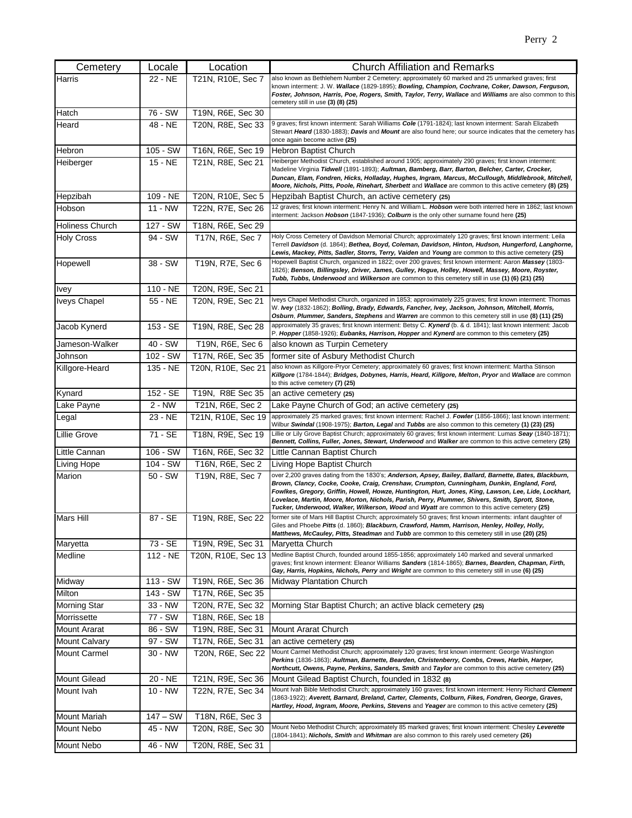| Cemetery               | Locale     | Location           | <b>Church Affiliation and Remarks</b>                                                                                                                                                                                                                                                                                                                                                                                                                                                                              |
|------------------------|------------|--------------------|--------------------------------------------------------------------------------------------------------------------------------------------------------------------------------------------------------------------------------------------------------------------------------------------------------------------------------------------------------------------------------------------------------------------------------------------------------------------------------------------------------------------|
| Harris                 | 22 - NE    | T21N, R10E, Sec 7  | also known as Bethlehem Number 2 Cemetery; approximately 60 marked and 25 unmarked graves; first<br>known interment: J. W. Wallace (1829-1895); Bowling, Champion, Cochrane, Coker, Dawson, Ferguson,<br>Foster, Johnson, Harris, Poe, Rogers, Smith, Taylor, Terry, Wallace and Williams are also common to this<br>cemetery still in use (3) (8) (25)                                                                                                                                                            |
| Hatch                  | 76 - SW    | T19N, R6E, Sec 30  |                                                                                                                                                                                                                                                                                                                                                                                                                                                                                                                    |
| Heard                  | 48 - NE    | T20N, R8E, Sec 33  | 9 graves; first known interment: Sarah Williams Cole (1791-1824); last known interment: Sarah Elizabeth<br>Stewart Heard (1830-1883); Davis and Mount are also found here; our source indicates that the cemetery has<br>once again become active (25)                                                                                                                                                                                                                                                             |
| Hebron                 | 105 - SW   | T16N, R6E, Sec 19  | Hebron Baptist Church                                                                                                                                                                                                                                                                                                                                                                                                                                                                                              |
| Heiberger              | 15 - NE    | T21N, R8E, Sec 21  | Heiberger Methodist Church, established around 1905; approximately 290 graves; first known interment:<br>Madeline Virginia Tidwell (1891-1893); Aultman, Bamberg, Barr, Barton, Belcher, Carter, Crocker,<br>Duncan, Elam, Fondren, Hicks, Holladay, Hughes, Ingram, Marcus, McCullough, Middlebrook, Mitchell,<br>Moore, Nichols, Pitts, Poole, Rinehart, Sherbett and Wallace are common to this active cemetery (8) (25)                                                                                        |
| Hepzibah               | 109 - NE   | T20N, R10E, Sec 5  | Hepzibah Baptist Church, an active cemetery (25)                                                                                                                                                                                                                                                                                                                                                                                                                                                                   |
| Hobson                 | 11 - NW    | T22N, R7E, Sec 26  | 12 graves; first known interment: Henry N. and William L. Hobson were both interred here in 1862; last known<br>interment: Jackson Hobson (1847-1936); Colburn is the only other surname found here (25)                                                                                                                                                                                                                                                                                                           |
| <b>Holiness Church</b> | 127 - SW   | T18N, R6E, Sec 29  |                                                                                                                                                                                                                                                                                                                                                                                                                                                                                                                    |
| <b>Holy Cross</b>      | 94 - SW    | T17N, R6E, Sec 7   | Holy Cross Cemetery of Davidson Memorial Church; approximately 120 graves; first known interment: Leila<br>Terrell Davidson (d. 1864); Bethea, Boyd, Coleman, Davidson, Hinton, Hudson, Hungerford, Langhorne,<br>Lewis, Mackey, Pitts, Sadler, Storrs, Terry, Vaiden and Young are common to this active cemetery (25)                                                                                                                                                                                            |
| Hopewell               | 38 - SW    | T19N, R7E, Sec 6   | Hopewell Baptist Church, organized in 1822; over 200 graves; first known interment: Aaron Massey (1803-<br>1826); Benson, Billingsley, Driver, James, Gulley, Hogue, Holley, Howell, Massey, Moore, Royster,<br>Tubb, Tubbs, Underwood and Wilkerson are common to this cemetery still in use (1) (6) (21) (25)                                                                                                                                                                                                    |
| <b>Ivey</b>            | 110 - NE   | T20N, R9E, Sec 21  |                                                                                                                                                                                                                                                                                                                                                                                                                                                                                                                    |
| <b>Iveys Chapel</b>    | 55 - NE    | T20N, R9E, Sec 21  | Iveys Chapel Methodist Church, organized in 1853; approximately 225 graves; first known interment: Thomas<br>W. Ivey (1832-1862); Bolling, Brady, Edwards, Fancher, Ivey, Jackson, Johnson, Mitchell, Morris,<br>Osburn, Plummer, Sanders, Stephens and Warren are common to this cemetery still in use (8) (11) (25)                                                                                                                                                                                              |
| Jacob Kynerd           | $153 - SE$ | T19N, R8E, Sec 28  | approximately 35 graves; first known interment: Betsy C. Kynerd (b. & d. 1841); last known interment: Jacob<br>P. Hopper (1858-1926); Eubanks, Harrison, Hopper and Kynerd are common to this cemetery (25)                                                                                                                                                                                                                                                                                                        |
| Jameson-Walker         | 40 - SW    | T19N, R6E, Sec 6   | also known as Turpin Cemetery                                                                                                                                                                                                                                                                                                                                                                                                                                                                                      |
| Johnson                | 102 - SW   | T17N, R6E, Sec 35  | former site of Asbury Methodist Church                                                                                                                                                                                                                                                                                                                                                                                                                                                                             |
| Killgore-Heard         | 135 - NE   | T20N, R10E, Sec 21 | also known as Killgore-Pryor Cemetery; approximately 60 graves; first known interment: Martha Stinson<br>Killgore (1784-1844); Bridges, Dobynes, Harris, Heard, Killgore, Melton, Pryor and Wallace are common<br>to this active cemetery (7) (25)                                                                                                                                                                                                                                                                 |
| Kynard                 | 152 - SE   | T19N, R8E Sec 35   | an active cemetery (25)                                                                                                                                                                                                                                                                                                                                                                                                                                                                                            |
| Lake Payne             | $2 - NW$   | T21N, R6E, Sec 2   | Lake Payne Church of God; an active cemetery (25)                                                                                                                                                                                                                                                                                                                                                                                                                                                                  |
| Legal                  | 23 - NE    | T21N, R10E, Sec 19 | approximately 25 marked graves; first known interment: Rachel J. Fowler (1856-1866); last known interment:<br>Wilbur Swindal (1908-1975); Barton, Legal and Tubbs are also common to this cemetery (1) (23) (25)                                                                                                                                                                                                                                                                                                   |
| Lillie Grove           | 71 - SE    | T18N, R9E, Sec 19  | Lillie or Lily Grove Baptist Church; approximately 60 graves; first known interment: Lumas Seay (1840-1871);<br>Bennett, Collins, Fuller, Jones, Stewart, Underwood and Walker are common to this active cemetery (25)                                                                                                                                                                                                                                                                                             |
| Little Cannan          | 106 - SW   | T16N, R6E, Sec 32  | Little Cannan Baptist Church                                                                                                                                                                                                                                                                                                                                                                                                                                                                                       |
| <b>Living Hope</b>     | 104 - SW   | T16N, R6E, Sec 2   | Living Hope Baptist Church                                                                                                                                                                                                                                                                                                                                                                                                                                                                                         |
| Marion                 | 50 - SW    | T19N, R8E, Sec 7   | over 2,200 graves dating from the 1830's; Anderson, Apsey, Bailey, Ballard, Barnette, Bates, Blackburn,<br>Brown, Clancy, Cocke, Cooke, Craig, Crenshaw, Crumpton, Cunningham, Dunkin, England, Ford,<br>Fowlkes, Gregory, Griffin, Howell, Howze, Huntington, Hurt, Jones, King, Lawson, Lee, Lide, Lockhart,<br>Lovelace, Martin, Moore, Morton, Nichols, Parish, Perry, Plummer, Shivers, Smith, Sprott, Stone,<br>Tucker, Underwood, Walker, Wilkerson, Wood and Wyatt are common to this active cemetery (25) |
| <b>Mars Hill</b>       | 87 - SE    | T19N, R8E, Sec 22  | former site of Mars Hill Baptist Church; approximately 50 graves; first known interments: infant daughter of<br>Giles and Phoebe Pitts (d. 1860); Blackburn, Crawford, Hamm, Harrison, Henley, Holley, Holly,<br>Matthews, McCauley, Pitts, Steadman and Tubb are common to this cemetery still in use (20) (25)                                                                                                                                                                                                   |
| Maryetta               | 73 - SE    | T19N, R9E, Sec 31  | Maryetta Church                                                                                                                                                                                                                                                                                                                                                                                                                                                                                                    |
| Medline                | 112 - NE   | T20N, R10E, Sec 13 | Medline Baptist Church, founded around 1855-1856; approximately 140 marked and several unmarked<br>graves; first known interment: Eleanor Williams Sanders (1814-1865); Barnes, Bearden, Chapman, Firth,<br>Gay, Harris, Hopkins, Nichols, Perry and Wright are common to this cemetery still in use (6) (25)                                                                                                                                                                                                      |
| Midway                 | 113 - SW   | T19N, R6E, Sec 36  | Midway Plantation Church                                                                                                                                                                                                                                                                                                                                                                                                                                                                                           |
| Milton                 | 143 - SW   | T17N, R6E, Sec 35  |                                                                                                                                                                                                                                                                                                                                                                                                                                                                                                                    |
| <b>Morning Star</b>    | 33 - NW    | T20N, R7E, Sec 32  | Morning Star Baptist Church; an active black cemetery (25)                                                                                                                                                                                                                                                                                                                                                                                                                                                         |
| Morrissette            | 77 - SW    | T18N, R6E, Sec 18  |                                                                                                                                                                                                                                                                                                                                                                                                                                                                                                                    |
| <b>Mount Ararat</b>    | 86 - SW    | T19N, R8E, Sec 31  | Mount Ararat Church                                                                                                                                                                                                                                                                                                                                                                                                                                                                                                |
| <b>Mount Calvary</b>   | 97 - SW    | T17N, R6E, Sec 31  | an active cemetery (25)                                                                                                                                                                                                                                                                                                                                                                                                                                                                                            |
| <b>Mount Carmel</b>    | 30 - NW    | T20N, R6E, Sec 22  | Mount Carmel Methodist Church; approximately 120 graves; first known interment: George Washington<br>Perkins (1836-1863); Aultman, Barnette, Bearden, Christenberry, Combs, Crews, Harbin, Harper,<br>Northcutt, Owens, Payne, Perkins, Sanders, Smith and Taylor are common to this active cemetery (25)                                                                                                                                                                                                          |
| <b>Mount Gilead</b>    | 20 - NE    | T21N, R9E, Sec 36  | Mount Gilead Baptist Church, founded in 1832 (8)                                                                                                                                                                                                                                                                                                                                                                                                                                                                   |
| Mount Ivah             | $10 - NW$  | T22N, R7E, Sec 34  | Mount Ivah Bible Methodist Church; approximately 160 graves; first known interment: Henry Richard Clement<br>(1863-1922); Averett, Barnard, Breland, Carter, Clements, Colburn, Fikes, Fondren, George, Graves,<br>Hartley, Hood, Ingram, Moore, Perkins, Stevens and Yeager are common to this active cemetery (25)                                                                                                                                                                                               |
| <b>Mount Mariah</b>    | $147 - SW$ | T18N, R6E, Sec 3   |                                                                                                                                                                                                                                                                                                                                                                                                                                                                                                                    |
| <b>Mount Nebo</b>      | 45 - NW    | T20N, R8E, Sec 30  | Mount Nebo Methodist Church; approximately 85 marked graves; first known interment: Chesley Leverette<br>(1804-1841); Nichols, Smith and Whitman are also common to this rarely used cemetery (26)                                                                                                                                                                                                                                                                                                                 |
| <b>Mount Nebo</b>      | 46 - NW    | T20N, R8E, Sec 31  |                                                                                                                                                                                                                                                                                                                                                                                                                                                                                                                    |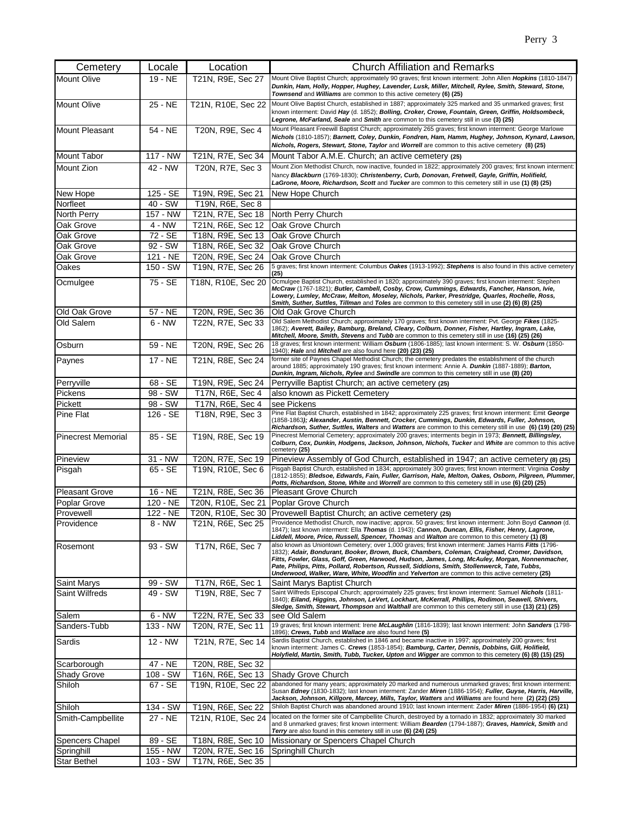| Cemetery                  | Locale   | Location           | <b>Church Affiliation and Remarks</b>                                                                                                                                                                                                                                                                                                                                                                          |
|---------------------------|----------|--------------------|----------------------------------------------------------------------------------------------------------------------------------------------------------------------------------------------------------------------------------------------------------------------------------------------------------------------------------------------------------------------------------------------------------------|
| <b>Mount Olive</b>        | 19 - NE  | T21N, R9E, Sec 27  | Mount Olive Baptist Church; approximately 90 graves; first known interment: John Allen Hopkins (1810-1847)<br>Dunkin, Ham, Holly, Hopper, Hughey, Lavender, Lusk, Miller, Mitchell, Rylee, Smith, Steward, Stone,<br>Townsend and Williams are common to this active cemetery (6) (25)                                                                                                                         |
| <b>Mount Olive</b>        | 25 - NE  | T21N, R10E, Sec 22 | Mount Olive Baptist Church, established in 1887; approximately 325 marked and 35 unmarked graves; first<br>known interment: David Hay (d. 1852); Bolling, Croker, Crowe, Fountain, Green, Griffin, Holdsombeck,<br>Legrone, McFarland, Seale and Smith are common to this cemetery still in use (3) (25)                                                                                                       |
| <b>Mount Pleasant</b>     | 54 - NE  | T20N, R9E, Sec 4   | Mount Pleasant Freewill Baptist Church; approximately 265 graves; first known interment: George Marlowe<br>Nichols (1810-1857); Barnett, Coley, Dunkin, Fondren, Ham, Hamm, Hughey, Johnson, Kynard, Lawson,<br>Nichols, Rogers, Stewart, Stone, Taylor and Worrell are common to this active cemetery (8) (25)                                                                                                |
| <b>Mount Tabor</b>        | 117 - NW | T21N, R7E, Sec 34  | Mount Tabor A.M.E. Church; an active cemetery (25)                                                                                                                                                                                                                                                                                                                                                             |
| Mount Zion                | 42 - NW  | T20N, R7E, Sec 3   | Mount Zion Methodist Church, now inactive, founded in 1822; approximately 200 graves; first known interment:<br>Nancy Blackburn (1769-1830); Christenberry, Curb, Donovan, Fretwell, Gayle, Griffin, Holifield,<br>LaGrone, Moore, Richardson, Scott and Tucker are common to this cemetery still in use (1) (8) (25)                                                                                          |
| New Hope                  | 125 - SE | T19N, R9E, Sec 21  | New Hope Church                                                                                                                                                                                                                                                                                                                                                                                                |
| Norfleet                  | 40 - SW  | T19N, R6E, Sec 8   |                                                                                                                                                                                                                                                                                                                                                                                                                |
| North Perry               | 157 - NW | T21N, R7E, Sec 18  | North Perry Church                                                                                                                                                                                                                                                                                                                                                                                             |
| Oak Grove                 | 4 - NW   | T21N, R6E, Sec 12  | Oak Grove Church                                                                                                                                                                                                                                                                                                                                                                                               |
| Oak Grove                 | 72 - SE  | T18N, R9E, Sec 13  | Oak Grove Church                                                                                                                                                                                                                                                                                                                                                                                               |
| Oak Grove                 | 92 - SW  | T18N, R6E, Sec 32  | Oak Grove Church                                                                                                                                                                                                                                                                                                                                                                                               |
| Oak Grove                 | 121 - NE | T20N, R9E, Sec 24  | Oak Grove Church                                                                                                                                                                                                                                                                                                                                                                                               |
| Oakes                     | 150 - SW | T19N, R7E, Sec 26  | 5 graves; first known interment: Columbus Oakes (1913-1992); Stephens is also found in this active cemetery<br>(25)                                                                                                                                                                                                                                                                                            |
| Ocmulgee                  | 75 - SE  | T18N, R10E, Sec 20 | Ocmulgee Baptist Church, established in 1820; approximately 390 graves; first known interment: Stephen<br>McCraw (1767-1821); Butler, Cambell, Cosby, Crow, Cummings, Edwards, Fancher, Hanson, Ivie,<br>Lowery, Lumley, McCraw, Melton, Moseley, Nichols, Parker, Prestridge, Quarles, Rochelle, Ross,<br>Smith, Suther, Suttles, Tillman and Toles are common to this cemetery still in use (2) (6) (8) (25) |
| Old Oak Grove             | 57 - NE  | T20N, R9E, Sec 36  | Old Oak Grove Church                                                                                                                                                                                                                                                                                                                                                                                           |
| Old Salem                 | $6 - NW$ | T22N, R7E, Sec 33  | Old Salem Methodist Church; approximately 170 graves; first known interment: Pvt. George Fikes (1825-<br>1862); Averett, Bailey, Bamburg, Breland, Cleary, Colburn, Donner, Fisher, Hartley, Ingram, Lake,<br>Mitchell, Moore, Smith, Stevens and Tubb are common to this cemetery still in use (16) (25) (26)                                                                                                 |
| Osburn                    | 59 - NE  | T20N, R9E, Sec 26  | 18 graves; first known interment: William Osburn (1806-1885); last known interment: S. W. Osburn (1850-<br>1940); Hale and Mitchell are also found here (20) (23) (25)                                                                                                                                                                                                                                         |
| Paynes                    | 17 - NE  | T21N, R8E, Sec 24  | former site of Paynes Chapel Methodist Church; the cemetery predates the establishment of the church<br>around 1885; approximately 190 graves; first known interment: Annie A. Dunkin (1887-1889); Barton,<br>Dunkin, Ingram, Nichols, Rylee and Swindle are common to this cemetery still in use (8) (20)                                                                                                     |
| Perryville                | 68 - SE  | T19N, R9E, Sec 24  | Perryville Baptist Church; an active cemetery (25)                                                                                                                                                                                                                                                                                                                                                             |
| Pickens                   | 98 - SW  | T17N, R6E, Sec 4   | also known as Pickett Cemetery                                                                                                                                                                                                                                                                                                                                                                                 |
| Pickett                   | 98 - SW  | T17N, R6E, Sec 4   | see Pickens                                                                                                                                                                                                                                                                                                                                                                                                    |
| Pine Flat                 | 126 - SE | T18N, R9E, Sec 3   | Pine Flat Baptist Church, established in 1842; approximately 225 graves; first known interment: Emit George<br>(1858-1863); Alexander, Austin, Bennett, Crocker, Cummings, Dunkin, Edwards, Fuller, Johnson,<br>Richardson, Suther, Suttles, Walters and Watters are common to this cemetery still in use (6) (19) (20) (25)                                                                                   |
| <b>Pinecrest Memorial</b> | 85 - SE  | T19N, R8E, Sec 19  | Pinecrest Memorial Cemetery; approximately 200 graves; interments begin in 1973; Bennett, Billingsley,<br>Colburn, Cox, Dunkin, Hodgens, Jackson, Johnson, Nichols, Tucker and White are common to this active<br>cemetery (25)                                                                                                                                                                                |
| Pineview                  | 31 - NW  | T20N, R7E, Sec 19  | Pineview Assembly of God Church, established in 1947; an active cemetery (8) (25)                                                                                                                                                                                                                                                                                                                              |
| Pisgah                    | 65 - SE  | T19N, R10E, Sec 6  | Pisgah Baptist Church, established in 1834; approximately 300 graves; first known interment: Virginia Cosby<br>(1812-1855); Bledsoe, Edwards, Fain, Fuller, Garrison, Hale, Melton, Oakes, Osborn, Pilgreen, Plummer,<br>Potts, Richardson, Stone, White and Worrell are common to this cemetery still in use (6) (20) (25)                                                                                    |
| <b>Pleasant Grove</b>     | 16 - NE  | T21N, R8E, Sec 36  | <b>Pleasant Grove Church</b>                                                                                                                                                                                                                                                                                                                                                                                   |
| <b>Poplar Grove</b>       | 120 - NE | T20N, R10E, Sec 21 | Poplar Grove Church                                                                                                                                                                                                                                                                                                                                                                                            |
| Provewell                 | 122 - NE | T20N, R10E, Sec 30 | Provewell Baptist Church; an active cemetery (25)<br>Providence Methodist Church, now inactive; approx. 50 graves; first known interment: John Boyd Cannon (d.                                                                                                                                                                                                                                                 |
| Providence                | $8 - NW$ | T21N, R6E, Sec 25  | 1847); last known interment: Ella Thomas (d. 1943); Cannon, Duncan, Ellis, Fisher, Henry, Lagrone,<br>Liddell, Moore, Price, Russell, Spencer, Thomas and Walton are common to this cemetery (1) (8)<br>also known as Uniontown Cemetery; over 1,000 graves; first known interment: James Harris Fitts (1796-                                                                                                  |
| Rosemont                  | 93 - SW  | T17N, R6E, Sec 7   | 1832); Adair, Bondurant, Booker, Brown, Buck, Chambers, Coleman, Craighead, Cromer, Davidson,<br>Fitts, Fowler, Glass, Goff, Green, Harwood, Hudson, James, Long, McAuley, Morgan, Nonnenmacher,<br>Pate, Philips, Pitts, Pollard, Robertson, Russell, Siddions, Smith, Stollenwerck, Tate, Tubbs,<br>Underwood, Walker, Ware, White, Woodfin and Yelverton are common to this active cemetery (25)            |
| <b>Saint Marys</b>        | 99 - SW  | T17N, R6E, Sec 1   | Saint Marys Baptist Church                                                                                                                                                                                                                                                                                                                                                                                     |
| <b>Saint Wilfreds</b>     | 49 - SW  | T19N, R8E, Sec 7   | Saint Wilfreds Episcopal Church; approximately 225 graves; first known interment: Samuel Nichols (1811-<br>1840); Eiland, Higgins, Johnson, LeVert, Lockhart, McKerrall, Phillips, Rodimon, Seawell, Shivers,<br>Sledge, Smith, Stewart, Thompson and Walthall are common to this cemetery still in use (13) (21) (25)                                                                                         |
| Salem                     | $6 - NW$ | T22N, R7E, Sec 33  | see Old Salem                                                                                                                                                                                                                                                                                                                                                                                                  |
| Sanders-Tubb              | 133 - NW | T20N, R7E, Sec 11  | 19 graves; first known interment: Irene McLaughlin (1816-1839); last known interment: John Sanders (1798-<br>1896); Crews, Tubb and Wallace are also found here (5)                                                                                                                                                                                                                                            |
| Sardis                    | 12 - NW  | T21N, R7E, Sec 14  | Sardis Baptist Church, established in 1846 and became inactive in 1997; approximately 200 graves; first<br>known interment: James C. Crews (1853-1854); Bamburg, Carter, Dennis, Dobbins, Gill, Holifield,<br>Holyfield, Martin, Smith, Tubb, Tucker, Upton and Wigger are common to this cemetery (6) (8) (15) (25)                                                                                           |
| Scarborough               | 47 - NE  | T20N, R8E, Sec 32  |                                                                                                                                                                                                                                                                                                                                                                                                                |
| <b>Shady Grove</b>        | 108 - SW | T16N, R6E, Sec 13  | Shady Grove Church                                                                                                                                                                                                                                                                                                                                                                                             |
| Shiloh                    | 67 - SE  | T19N, R10E, Sec 22 | abandoned for many years; approximately 20 marked and numerous unmarked graves; first known interment:<br>Susan Edney (1830-1832); last known interment: Zander Miren (1886-1954); Fuller, Guyse, Harris, Harville,<br>Jackson, Johnson, Killgore, Marcey, Mills, Taylor, Watters and Williams are found here (2) (22) (25)                                                                                    |
| Shiloh                    | 134 - SW | T19N, R6E, Sec 22  | Shiloh Baptist Church was abandoned around 1910; last known interment: Zader Miren (1886-1954) (6) (21)                                                                                                                                                                                                                                                                                                        |
| Smith-Campbellite         | 27 - NE  | T21N, R10E, Sec 24 | located on the former site of Campbellite Church, destroyed by a tornado in 1832; approximately 30 marked<br>and 8 unmarked graves; first known interment: William Bearden (1794-1887); Graves, Hamrick, Smith and<br>Terry are also found in this cemetery still in use (6) (24) (25)                                                                                                                         |
| Spencers Chapel           | 89 - SE  | T18N, R8E, Sec 10  | Missionary or Spencers Chapel Church                                                                                                                                                                                                                                                                                                                                                                           |
| Springhill                | 155 - NW | T20N, R7E, Sec 16  | Springhill Church                                                                                                                                                                                                                                                                                                                                                                                              |
| <b>Star Bethel</b>        | 103 - SW | T17N, R6E, Sec 35  |                                                                                                                                                                                                                                                                                                                                                                                                                |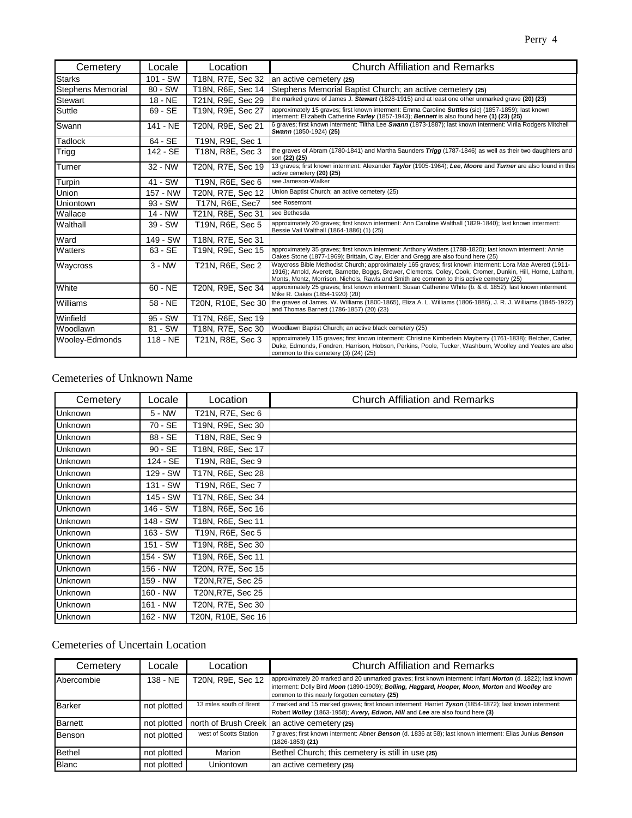| Cemetery                 | Locale    | Location           | <b>Church Affiliation and Remarks</b>                                                                                                                                                                                                                                                                                 |
|--------------------------|-----------|--------------------|-----------------------------------------------------------------------------------------------------------------------------------------------------------------------------------------------------------------------------------------------------------------------------------------------------------------------|
| <b>Starks</b>            | 101 - SW  | T18N, R7E, Sec 32  | an active cemetery (25)                                                                                                                                                                                                                                                                                               |
| <b>Stephens Memorial</b> | 80 - SW   | T18N, R6E, Sec 14  | Stephens Memorial Baptist Church; an active cemetery (25)                                                                                                                                                                                                                                                             |
| Stewart                  | 18 - NE   | T21N, R9E, Sec 29  | the marked grave of James J. Stewart (1828-1915) and at least one other unmarked grave (20) (23)                                                                                                                                                                                                                      |
| Suttle                   | 69 - SE   | T19N, R9E, Sec 27  | approximately 15 graves; first known interment: Emma Caroline Suttles (sic) (1857-1859); last known<br>interment: Elizabeth Catherine Farley (1857-1943); Bennett is also found here (1) (23) (25)                                                                                                                    |
| Swann                    | 141 - NE  | T20N, R9E, Sec 21  | 6 graves; first known interment: Tiltha Lee Swann (1873-1887); last known interment: Virila Rodgers Mitchell<br>Swann (1850-1924) (25)                                                                                                                                                                                |
| Tadlock                  | 64 - SE   | T19N, R9E, Sec 1   |                                                                                                                                                                                                                                                                                                                       |
| Trigg                    | 142 - SE  | T18N, R8E, Sec 3   | the graves of Abram (1780-1841) and Martha Saunders Trigg (1787-1846) as well as their two daughters and<br>son (22) (25)                                                                                                                                                                                             |
| Turner                   | 32 - NW   | T20N, R7E, Sec 19  | 13 graves; first known interment: Alexander Taylor (1905-1964); Lee, Moore and Turner are also found in this<br>active cemetery (20) (25)                                                                                                                                                                             |
| Turpin                   | 41 - SW   | T19N, R6E, Sec 6   | see Jameson-Walker                                                                                                                                                                                                                                                                                                    |
| Union                    | 157 - NW  | T20N, R7E, Sec 12  | Union Baptist Church; an active cemetery (25)                                                                                                                                                                                                                                                                         |
| Uniontown                | $93 - SW$ | T17N, R6E, Sec7    | see Rosemont                                                                                                                                                                                                                                                                                                          |
| Wallace                  | 14 - NW   | T21N, R8E, Sec 31  | see Bethesda                                                                                                                                                                                                                                                                                                          |
| Walthall                 | 39 - SW   | T19N, R6E, Sec 5   | approximately 20 graves; first known interment: Ann Caroline Walthall (1829-1840); last known interment:<br>Bessie Vail Walthall (1864-1886) (1) (25)                                                                                                                                                                 |
| Ward                     | 149 - SW  | T18N, R7E, Sec 31  |                                                                                                                                                                                                                                                                                                                       |
| Watters                  | 63 - SE   | T19N, R9E, Sec 15  | approximately 35 graves; first known interment: Anthony Watters (1788-1820); last known interment: Annie<br>Oakes Stone (1877-1969); Brittain, Clay, Elder and Gregg are also found here (25)                                                                                                                         |
| Waycross                 | $3 - NW$  | T21N, R6E, Sec 2   | Waycross Bible Methodist Church; approximately 165 graves; first known interment: Lora Mae Averett (1911-<br>1916); Arnold, Averett, Barnette, Boggs, Brewer, Clements, Coley, Cook, Cromer, Dunkin, Hill, Horne, Latham,<br>Monts, Montz, Morrison, Nichols, Rawls and Smith are common to this active cemetery (25) |
| White                    | $60 - NE$ | T20N, R9E, Sec 34  | approximately 25 graves; first known interment: Susan Catherine White (b. & d. 1852); last known interment:<br>Mike R. Oakes (1854-1920) (20)                                                                                                                                                                         |
| Williams                 | 58 - NE   | T20N, R10E, Sec 30 | the graves of James. W. Williams (1800-1865), Eliza A. L. Williams (1806-1886), J. R. J. Williams (1845-1922)<br>and Thomas Barnett (1786-1857) (20) (23)                                                                                                                                                             |
| Winfield                 | 95 - SW   | T17N, R6E, Sec 19  |                                                                                                                                                                                                                                                                                                                       |
| Woodlawn                 | 81 - SW   | T18N, R7E, Sec 30  | Woodlawn Baptist Church; an active black cemetery (25)                                                                                                                                                                                                                                                                |
| Wooley-Edmonds           | 118 - NE  | T21N, R8E, Sec 3   | approximately 115 graves; first known interment: Christine Kimberlein Mayberry (1761-1838); Belcher, Carter,<br>Duke, Edmonds, Fondren, Harrison, Hobson, Perkins, Poole, Tucker, Washburn, Woolley and Yeates are also<br>common to this cemetery (3) (24) (25)                                                      |

## Cemeteries of Unknown Name

| Cemetery       | Locale    | Location           | <b>Church Affiliation and Remarks</b> |
|----------------|-----------|--------------------|---------------------------------------|
| Unknown        | $5 - NW$  | T21N, R7E, Sec 6   |                                       |
| <b>Unknown</b> | 70 - SE   | T19N, R9E, Sec 30  |                                       |
| <b>Unknown</b> | 88 - SE   | T18N, R8E, Sec 9   |                                       |
| <b>Unknown</b> | $90 - SE$ | T18N, R8E, Sec 17  |                                       |
| <b>Unknown</b> | 124 - SE  | T19N, R8E, Sec 9   |                                       |
| Unknown        | 129 - SW  | T17N, R6E, Sec 28  |                                       |
| Unknown        | 131 - SW  | T19N, R6E, Sec 7   |                                       |
| <b>Unknown</b> | 145 - SW  | T17N, R6E, Sec 34  |                                       |
| Unknown        | 146 - SW  | T18N, R6E, Sec 16  |                                       |
| <b>Unknown</b> | 148 - SW  | T18N, R6E, Sec 11  |                                       |
| Unknown        | 163 - SW  | T19N, R6E, Sec 5   |                                       |
| Unknown        | 151 - SW  | T19N, R8E, Sec 30  |                                       |
| Unknown        | 154 - SW  | T19N, R6E, Sec 11  |                                       |
| <b>Unknown</b> | 156 - NW  | T20N, R7E, Sec 15  |                                       |
| <b>Unknown</b> | 159 - NW  | T20N, R7E, Sec 25  |                                       |
| <b>Unknown</b> | 160 - NW  | T20N, R7E, Sec 25  |                                       |
| Unknown        | 161 - NW  | T20N, R7E, Sec 30  |                                       |
| Unknown        | 162 - NW  | T20N, R10E, Sec 16 |                                       |

# Cemeteries of Uncertain Location

| Cemetery       | Locale      | ⊥ocation.               | <b>Church Affiliation and Remarks</b>                                                                                                                                                                                                                         |
|----------------|-------------|-------------------------|---------------------------------------------------------------------------------------------------------------------------------------------------------------------------------------------------------------------------------------------------------------|
| Abercombie     | $138 - NE$  | T20N, R9E, Sec 12       | approximately 20 marked and 20 unmarked graves; first known interment: infant Morton (d. 1822); last known<br>interment: Dolly Bird Moon (1890-1909); Bolling, Haggard, Hooper, Moon, Morton and Woolley are<br>common to this nearly forgotten cemetery (25) |
| <b>Barker</b>  | not plotted | 13 miles south of Brent | 7 marked and 15 marked graves; first known interment: Harriet Tyson (1854-1872); last known interment:<br>Robert Wolley (1863-1958); Avery, Edwon, Hill and Lee are also found here (3)                                                                       |
| <b>Barnett</b> | not plotted |                         | north of Brush Creek an active cemetery (25)                                                                                                                                                                                                                  |
| Benson         | not plotted | west of Scotts Station  | 7 graves; first known interment: Abner Benson (d. 1836 at 58); last known interment: Elias Junius Benson<br>$(1826 - 1853)$ (21)                                                                                                                              |
| <b>Bethel</b>  | not plotted | Marion                  | Bethel Church; this cemetery is still in use (25)                                                                                                                                                                                                             |
| <b>Blanc</b>   | not plotted | Uniontown               | an active cemetery (25)                                                                                                                                                                                                                                       |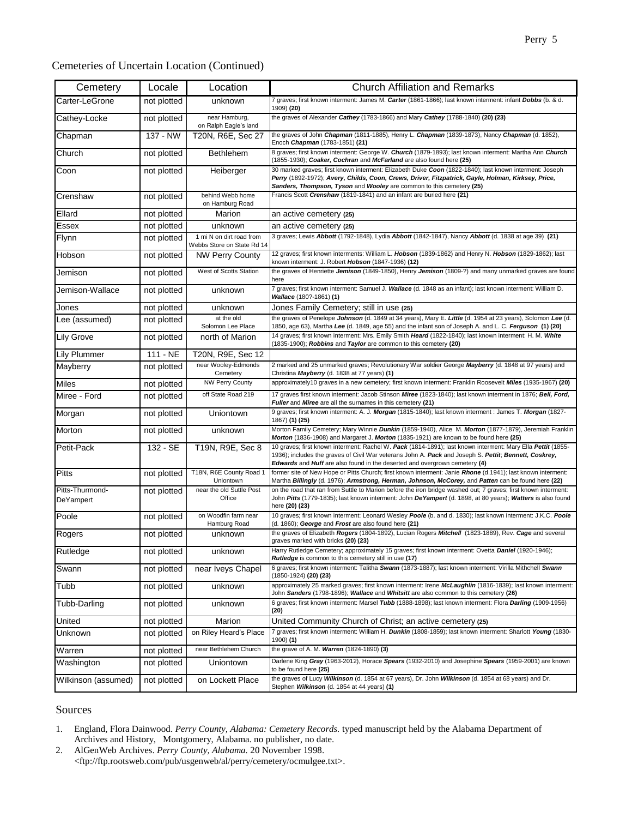#### Cemeteries of Uncertain Location (Continued)

| Cemetery                     | Locale      | Location                                               | <b>Church Affiliation and Remarks</b>                                                                                                                                                                                                                                                                            |
|------------------------------|-------------|--------------------------------------------------------|------------------------------------------------------------------------------------------------------------------------------------------------------------------------------------------------------------------------------------------------------------------------------------------------------------------|
| Carter-LeGrone               | not plotted | unknown                                                | 7 graves; first known interment: James M. Carter (1861-1866); last known interment: infant Dobbs (b. & d.<br>1909) (20)                                                                                                                                                                                          |
| Cathey-Locke                 | not plotted | near Hamburg,<br>on Ralph Eagle's land                 | the graves of Alexander Cathey (1783-1866) and Mary Cathey (1788-1840) (20) (23)                                                                                                                                                                                                                                 |
| Chapman                      | 137 - NW    | T20N, R6E, Sec 27                                      | the graves of John Chapman (1811-1885), Henry L. Chapman (1839-1873), Nancy Chapman (d. 1852),<br>Enoch Chapman (1783-1851) (21)                                                                                                                                                                                 |
| Church                       | not plotted | <b>Bethlehem</b>                                       | 8 graves; first known interment: George W. Church (1879-1893); last known interment: Martha Ann Church<br>(1855-1930); Coaker, Cochran and McFarland are also found here (25)                                                                                                                                    |
| Coon                         | not plotted | Heiberger                                              | 30 marked graves; first known interment: Elizabeth Duke Coon (1822-1840); last known interment: Joseph<br>Perry (1892-1972); Avery, Childs, Coon, Crews, Driver, Fitzpatrick, Gayle, Holman, Kirksey, Price,<br>Sanders, Thompson, Tyson and Wooley are common to this cemetery (25)                             |
| Crenshaw                     | not plotted | behind Webb home<br>on Hamburg Road                    | Francis Scott Crenshaw (1819-1841) and an infant are buried here (21)                                                                                                                                                                                                                                            |
| Ellard                       | not plotted | Marion                                                 | an active cemetery (25)                                                                                                                                                                                                                                                                                          |
| Essex                        | not plotted | unknown                                                | an active cemetery (25)                                                                                                                                                                                                                                                                                          |
| Flynn                        | not plotted | 1 mi N on dirt road from<br>Webbs Store on State Rd 14 | 3 graves; Lewis Abbott (1792-1848), Lydia Abbott (1842-1847), Nancy Abbott (d. 1838 at age 39) (21)                                                                                                                                                                                                              |
| Hobson                       | not plotted | <b>NW Perry County</b>                                 | 12 graves; first known interments: William L. Hobson (1839-1862) and Henry N. Hobson (1829-1862); last<br>known interment: J. Robert Hobson (1847-1936) (12)                                                                                                                                                     |
| Jemison                      | not plotted | West of Scotts Station                                 | the graves of Henriette Jemison (1849-1850), Henry Jemison (1809-?) and many unmarked graves are found<br>here                                                                                                                                                                                                   |
| Jemison-Wallace              | not plotted | unknown                                                | 7 graves; first known interment: Samuel J. Wallace (d. 1848 as an infant); last known interment: William D.<br>Wallace (180?-1861) (1)                                                                                                                                                                           |
| Jones                        | not plotted | unknown                                                | Jones Family Cemetery; still in use (25)                                                                                                                                                                                                                                                                         |
| Lee (assumed)                | not plotted | at the old<br>Solomon Lee Place                        | the graves of Penelope Johnson (d. 1849 at 34 years), Mary E. Little (d. 1954 at 23 years), Solomon Lee (d.<br>1850, age 63), Martha Lee (d. 1849, age 55) and the infant son of Joseph A. and L. C. Ferguson (1) (20)                                                                                           |
| <b>Lily Grove</b>            | not plotted | north of Marion                                        | 14 graves; first known interment: Mrs. Emily Smith Heard (1822-1840); last known interment: H. M. White<br>(1835-1900); <i>Robbins</i> and Taylor are common to this cemetery (20)                                                                                                                               |
| <b>Lily Plummer</b>          | 111 - NE    | T20N, R9E, Sec 12                                      |                                                                                                                                                                                                                                                                                                                  |
| Mayberry                     | not plotted | near Wooley-Edmonds<br>Cemetery                        | 2 marked and 25 unmarked graves; Revolutionary War soldier George Mayberry (d. 1848 at 97 years) and<br>Christina Mayberry (d. 1838 at 77 years) (1)                                                                                                                                                             |
| <b>Miles</b>                 | not plotted | <b>NW Perry County</b>                                 | approximately10 graves in a new cemetery; first known interment: Franklin Roosevelt Miles (1935-1967) (20)                                                                                                                                                                                                       |
| Miree - Ford                 | not plotted | off State Road 219                                     | 17 graves first known interment: Jacob Stinson Miree (1823-1840); last known interment in 1876; Bell, Ford,<br>Fuller and Miree are all the surnames in this cemetery (21)                                                                                                                                       |
| Morgan                       | not plotted | Uniontown                                              | 9 graves; first known interment: A. J. Morgan (1815-1840); last known interment : James T. Morgan (1827-<br>1867) (1) (25)                                                                                                                                                                                       |
| Morton                       | not plotted | unknown                                                | Morton Family Cemetery; Mary Winnie Dunkin (1859-1940), Alice M. Morton (1877-1879), Jeremiah Franklin<br>Morton (1836-1908) and Margaret J. Morton (1835-1921) are known to be found here (25)                                                                                                                  |
| Petit-Pack                   | 132 - SE    | T19N, R9E, Sec 8                                       | 10 graves; first known interment: Rachel W. Pack (1814-1891); last known interment: Mary Ella Pettit (1855-<br>1936); includes the graves of Civil War veterans John A. Pack and Joseph S. Pettit; Bennett, Coskrey,<br><b>Edwards</b> and <b>Huff</b> are also found in the deserted and overgrown cemetery (4) |
| <b>Pitts</b>                 | not plotted | T18N, R6E County Road 1<br>Uniontown                   | former site of New Hope or Pitts Church; first known interment: Janie Rhone (d.1941); last known interment:<br>Martha Billingly (d. 1976); Armstrong, Herman, Johnson, McCorey, and Patten can be found here (22)                                                                                                |
| Pitts-Thurmond-<br>DeYampert | not plotted | near the old Suttle Post<br>Office                     | on the road that ran from Suttle to Marion before the iron bridge washed out; 7 graves; first known interment:<br>John Pitts (1779-1835); last known interment: John De Yampert (d. 1898, at 80 years); Watters is also found<br>here (20) (23)                                                                  |
| Poole                        | not plotted | on Woodfin farm near<br>Hamburg Road                   | 10 graves; first known interment: Leonard Wesley Poole (b. and d. 1830); last known interment: J.K.C. Poole<br>(d. 1860); George and Frost are also found here (21)                                                                                                                                              |
| Rogers                       | not plotted | unknown                                                | the graves of Elizabeth Rogers (1804-1892), Lucian Rogers Mitchell (1823-1889), Rev. Cage and several<br>graves marked with bricks (20) (23)                                                                                                                                                                     |
| Rutledge                     | not plotted | unknown                                                | Harry Rutledge Cemetery; approximately 15 graves; first known interment: Ovetta Daniel (1920-1946);<br><b>Rutledge</b> is common to this cemetery still in use (17)                                                                                                                                              |
| Swann                        | not plotted | near Iveys Chapel                                      | 6 graves; first known interment: Talitha Swann (1873-1887); last known interment: Virilla Mithchell Swann<br>(1850-1924) <b>(20) (23)</b>                                                                                                                                                                        |
| Tubb                         | not plotted | unknown                                                | approximately 25 marked graves; first known interment: Irene McLaughlin (1816-1839); last known interment:<br>John Sanders (1798-1896); Wallace and Whitsitt are also common to this cemetery (26)                                                                                                               |
| Tubb-Darling                 | not plotted | unknown                                                | 6 graves; first known interment: Marsel Tubb (1888-1898); last known interment: Flora Darling (1909-1956)<br>(20)                                                                                                                                                                                                |
| United                       | not plotted | Marion                                                 | United Community Church of Christ; an active cemetery (25)                                                                                                                                                                                                                                                       |
| Unknown                      | not plotted | on Riley Heard's Place                                 | 7 graves; first known interment: William H. Dunkin (1808-1859); last known interment: Sharlott Young (1830-<br>1900) <b>(1)</b>                                                                                                                                                                                  |
| Warren                       | not plotted | near Bethlehem Church                                  | the grave of A. M. Warren (1824-1890) (3)                                                                                                                                                                                                                                                                        |
| Washington                   | not plotted | Uniontown                                              | Darlene King Gray (1963-2012), Horace Spears (1932-2010) and Josephine Spears (1959-2001) are known<br>to be found here (25)                                                                                                                                                                                     |
| Wilkinson (assumed)          | not plotted | on Lockett Place                                       | the graves of Lucy Wilkinson (d. 1854 at 67 years), Dr. John Wilkinson (d. 1854 at 68 years) and Dr.<br>Stephen Wilkinson (d. 1854 at 44 years) (1)                                                                                                                                                              |

### Sources

2. AlGenWeb Archives. *Perry County, Alabama.* 20 November 1998. <ftp://ftp.rootsweb.com/pub/usgenweb/al/perry/cemetery/ocmulgee.txt>.

<sup>1.</sup> England, Flora Dainwood. *Perry County, Alabama: Cemetery Records.* typed manuscript held by the Alabama Department of Archives and History, Montgomery, Alabama. no publisher, no date.